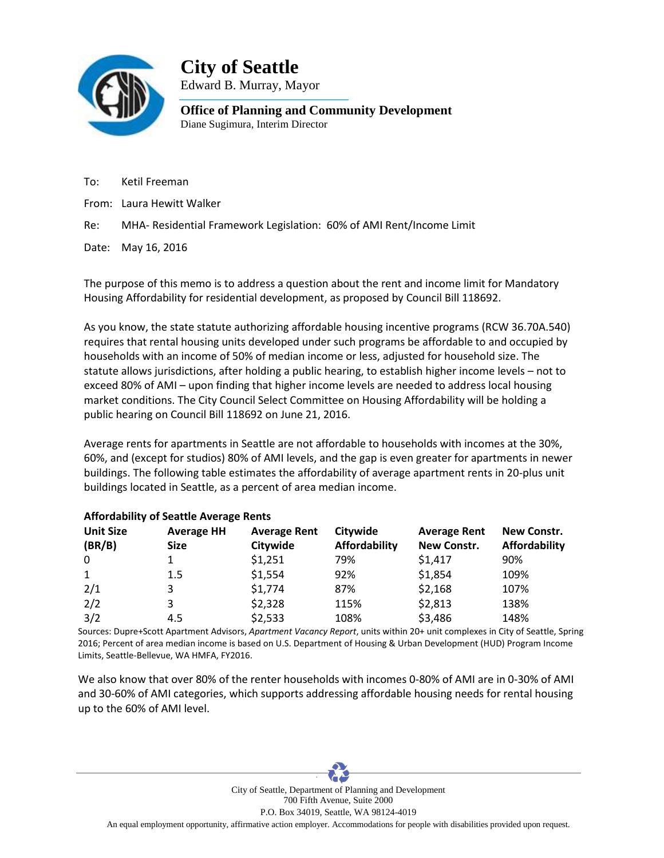

**City of Seattle**

Edward B. Murray, Mayor

**Office of Planning and Community Development** Diane Sugimura, Interim Director

To: Ketil Freeman

From: Laura Hewitt Walker

Re: MHA- Residential Framework Legislation: 60% of AMI Rent/Income Limit

Date: May 16, 2016

The purpose of this memo is to address a question about the rent and income limit for Mandatory Housing Affordability for residential development, as proposed by Council Bill 118692.

As you know, the state statute authorizing affordable housing incentive programs (RCW 36.70A.540) requires that rental housing units developed under such programs be affordable to and occupied by households with an income of 50% of median income or less, adjusted for household size. The statute allows jurisdictions, after holding a public hearing, to establish higher income levels – not to exceed 80% of AMI – upon finding that higher income levels are needed to address local housing market conditions. The City Council Select Committee on Housing Affordability will be holding a public hearing on Council Bill 118692 on June 21, 2016.

Average rents for apartments in Seattle are not affordable to households with incomes at the 30%, 60%, and (except for studios) 80% of AMI levels, and the gap is even greater for apartments in newer buildings. The following table estimates the affordability of average apartment rents in 20-plus unit buildings located in Seattle, as a percent of area median income.

| All Diddinity of Seathe Average Relits |                   |                     |               |                     |                      |
|----------------------------------------|-------------------|---------------------|---------------|---------------------|----------------------|
| <b>Unit Size</b>                       | <b>Average HH</b> | <b>Average Rent</b> | Citywide      | <b>Average Rent</b> | New Constr.          |
| (BR/B)                                 | <b>Size</b>       | Citywide            | Affordability | New Constr.         | <b>Affordability</b> |
| $\Omega$                               |                   | \$1,251             | 79%           | \$1,417             | 90%                  |
| 1                                      | $1.5\,$           | \$1,554             | 92%           | \$1,854             | 109%                 |
| 2/1                                    |                   | \$1,774             | 87%           | \$2,168             | 107%                 |
| 2/2                                    |                   | \$2,328             | 115%          | \$2,813             | 138%                 |
| 3/2                                    | 4.5               | \$2,533             | 108%          | \$3,486             | 148%                 |

## **Affordability of Seattle Average Rents**

Sources: Dupre+Scott Apartment Advisors, *Apartment Vacancy Report*, units within 20+ unit complexes in City of Seattle, Spring 2016; Percent of area median income is based on U.S. Department of Housing & Urban Development (HUD) Program Income Limits, Seattle-Bellevue, WA HMFA, FY2016.

We also know that over 80% of the renter households with incomes 0-80% of AMI are in 0-30% of AMI and 30-60% of AMI categories, which supports addressing affordable housing needs for rental housing up to the 60% of AMI level.

> City of Seattle, Department of Planning and Development 700 Fifth Avenue, Suite 2000 P.O. Box 34019, Seattle, WA 98124-4019

An equal employment opportunity, affirmative action employer. Accommodations for people with disabilities provided upon request.